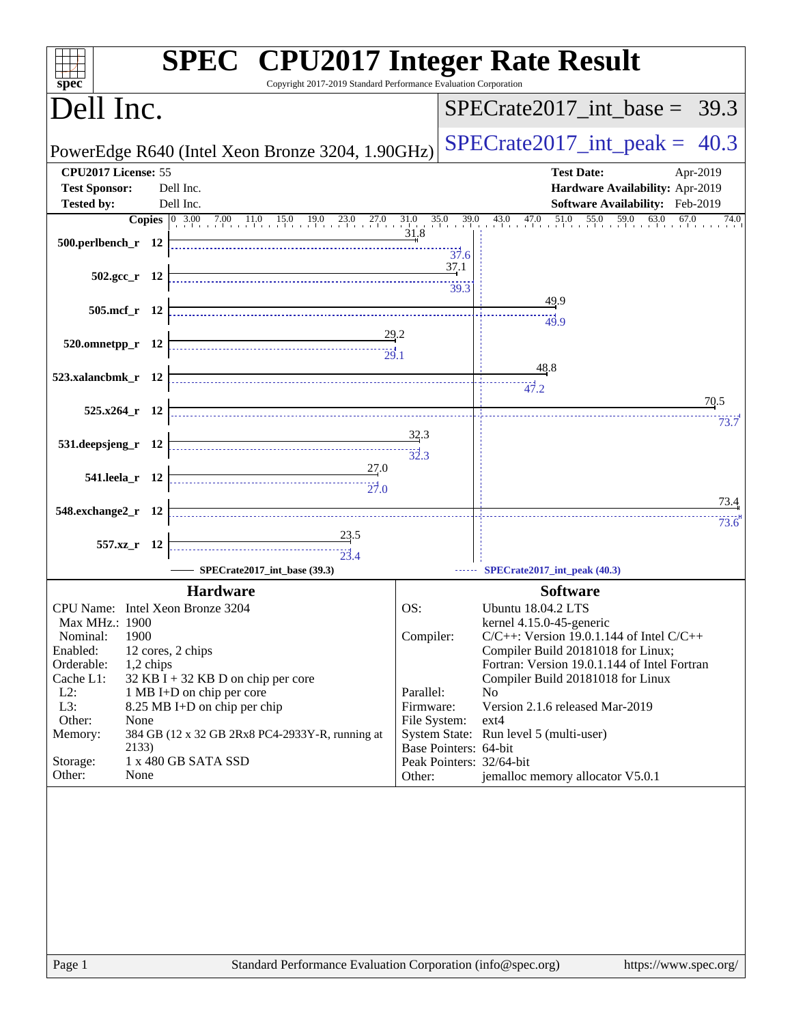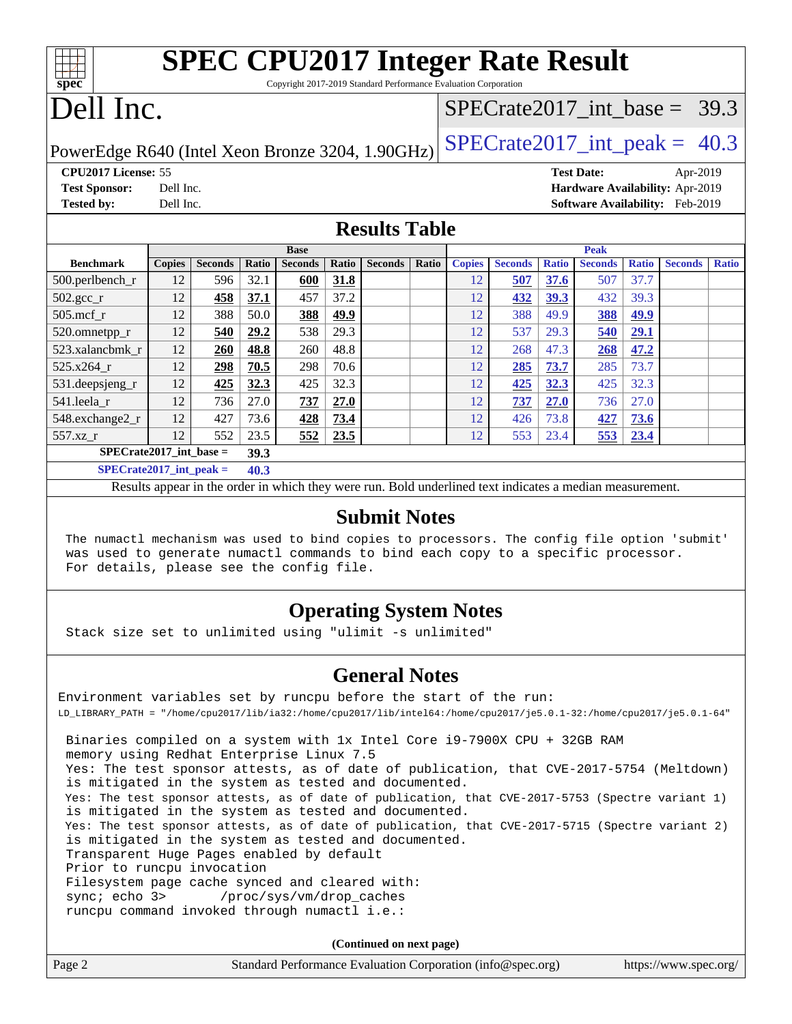| <b>SPEC CPU2017 Integer Rate Result</b><br>$spec*$<br>Copyright 2017-2019 Standard Performance Evaluation Corporation |               |                |       |                |       |                |                                |                                 |                |              |                |              |                |              |
|-----------------------------------------------------------------------------------------------------------------------|---------------|----------------|-------|----------------|-------|----------------|--------------------------------|---------------------------------|----------------|--------------|----------------|--------------|----------------|--------------|
| Dell Inc.                                                                                                             |               |                |       |                |       |                | $SPECTate2017$ int base = 39.3 |                                 |                |              |                |              |                |              |
| $SPECrate2017\_int\_peak = 40.3$<br>PowerEdge R640 (Intel Xeon Bronze 3204, 1.90GHz)                                  |               |                |       |                |       |                |                                |                                 |                |              |                |              |                |              |
| CPU <sub>2017</sub> License: 55<br><b>Test Date:</b><br>Apr-2019                                                      |               |                |       |                |       |                |                                |                                 |                |              |                |              |                |              |
| <b>Test Sponsor:</b>                                                                                                  | Dell Inc.     |                |       |                |       |                |                                | Hardware Availability: Apr-2019 |                |              |                |              |                |              |
| <b>Tested by:</b>                                                                                                     | Dell Inc.     |                |       |                |       |                |                                | Software Availability: Feb-2019 |                |              |                |              |                |              |
| <b>Results Table</b>                                                                                                  |               |                |       |                |       |                |                                |                                 |                |              |                |              |                |              |
| <b>Base</b>                                                                                                           |               |                |       |                | Peak  |                |                                |                                 |                |              |                |              |                |              |
| <b>Benchmark</b>                                                                                                      | <b>Copies</b> | <b>Seconds</b> | Ratio | <b>Seconds</b> | Ratio | <b>Seconds</b> | Ratio                          | <b>Copies</b>                   | <b>Seconds</b> | <b>Ratio</b> | <b>Seconds</b> | <b>Ratio</b> | <b>Seconds</b> | <b>Ratio</b> |
| $500.$ perlbench_r                                                                                                    | 12            | 596            | 32.1  | 600            | 31.8  |                |                                | 12                              | 507            | 37.6         | 507            | 37.7         |                |              |
| $502.\text{gcc}$ <sub>r</sub>                                                                                         | 12            | 458            | 37.1  | 457            | 37.2  |                |                                | 12                              | 432            | 39.3         | 432            | 39.3         |                |              |
| $505$ .mcf r                                                                                                          | 12            | 388            | 50.0  | 388            | 49.9  |                |                                | 12                              | 388            | 49.9         | 388            | 49.9         |                |              |
| $520.0$ mnetpp_r                                                                                                      | 12            | 540            | 29.2  | 538            | 29.3  |                |                                | 12                              | 537            | 29.3         | 540            | 29.1         |                |              |
| 523.xalancbmk r                                                                                                       | 12            | <b>260</b>     | 48.8  | 260            | 48.8  |                |                                | 12                              | 268            | 47.3         | 268            | 47.2         |                |              |
| 525.x264 r                                                                                                            | 12            | 298            | 70.5  | 298            | 70.6  |                |                                | 12                              | 285            | 73.7         | 285            | 73.7         |                |              |

**[Submit Notes](http://www.spec.org/auto/cpu2017/Docs/result-fields.html#SubmitNotes)**

Results appear in the [order in which they were run](http://www.spec.org/auto/cpu2017/Docs/result-fields.html#RunOrder). Bold underlined text [indicates a median measurement](http://www.spec.org/auto/cpu2017/Docs/result-fields.html#Median).

[531.deepsjeng\\_r](http://www.spec.org/auto/cpu2017/Docs/benchmarks/531.deepsjeng_r.html) 12 **[425](http://www.spec.org/auto/cpu2017/Docs/result-fields.html#Median) [32.3](http://www.spec.org/auto/cpu2017/Docs/result-fields.html#Median)** 425 32.3 12 **[425](http://www.spec.org/auto/cpu2017/Docs/result-fields.html#Median) [32.3](http://www.spec.org/auto/cpu2017/Docs/result-fields.html#Median)** 425 32.3 [541.leela\\_r](http://www.spec.org/auto/cpu2017/Docs/benchmarks/541.leela_r.html) 12 736 27.0 **[737](http://www.spec.org/auto/cpu2017/Docs/result-fields.html#Median) [27.0](http://www.spec.org/auto/cpu2017/Docs/result-fields.html#Median)** 12 **[737](http://www.spec.org/auto/cpu2017/Docs/result-fields.html#Median) [27.0](http://www.spec.org/auto/cpu2017/Docs/result-fields.html#Median)** 736 27.0 [548.exchange2\\_r](http://www.spec.org/auto/cpu2017/Docs/benchmarks/548.exchange2_r.html) 12 427 73.6 **[428](http://www.spec.org/auto/cpu2017/Docs/result-fields.html#Median) [73.4](http://www.spec.org/auto/cpu2017/Docs/result-fields.html#Median)** 12 426 73.8 **[427](http://www.spec.org/auto/cpu2017/Docs/result-fields.html#Median) [73.6](http://www.spec.org/auto/cpu2017/Docs/result-fields.html#Median)** [557.xz\\_r](http://www.spec.org/auto/cpu2017/Docs/benchmarks/557.xz_r.html) 12 552 23.5 **[552](http://www.spec.org/auto/cpu2017/Docs/result-fields.html#Median) [23.5](http://www.spec.org/auto/cpu2017/Docs/result-fields.html#Median)** 12 553 23.4 **[553](http://www.spec.org/auto/cpu2017/Docs/result-fields.html#Median) [23.4](http://www.spec.org/auto/cpu2017/Docs/result-fields.html#Median)**

 The numactl mechanism was used to bind copies to processors. The config file option 'submit' was used to generate numactl commands to bind each copy to a specific processor. For details, please see the config file.

#### **[Operating System Notes](http://www.spec.org/auto/cpu2017/Docs/result-fields.html#OperatingSystemNotes)**

Stack size set to unlimited using "ulimit -s unlimited"

**[SPECrate2017\\_int\\_base =](http://www.spec.org/auto/cpu2017/Docs/result-fields.html#SPECrate2017intbase) 39.3 [SPECrate2017\\_int\\_peak =](http://www.spec.org/auto/cpu2017/Docs/result-fields.html#SPECrate2017intpeak) 40.3**

#### **[General Notes](http://www.spec.org/auto/cpu2017/Docs/result-fields.html#GeneralNotes)**

Environment variables set by runcpu before the start of the run: LD\_LIBRARY\_PATH = "/home/cpu2017/lib/ia32:/home/cpu2017/lib/intel64:/home/cpu2017/je5.0.1-32:/home/cpu2017/je5.0.1-64" Binaries compiled on a system with 1x Intel Core i9-7900X CPU + 32GB RAM memory using Redhat Enterprise Linux 7.5 Yes: The test sponsor attests, as of date of publication, that CVE-2017-5754 (Meltdown) is mitigated in the system as tested and documented. Yes: The test sponsor attests, as of date of publication, that CVE-2017-5753 (Spectre variant 1) is mitigated in the system as tested and documented. Yes: The test sponsor attests, as of date of publication, that CVE-2017-5715 (Spectre variant 2) is mitigated in the system as tested and documented. Transparent Huge Pages enabled by default Prior to runcpu invocation Filesystem page cache synced and cleared with: sync; echo 3> /proc/sys/vm/drop\_caches runcpu command invoked through numactl i.e.:

**(Continued on next page)**

| Page 2 | Standard Performance Evaluation Corporation (info@spec.org) | https://www.spec.org/ |
|--------|-------------------------------------------------------------|-----------------------|
|--------|-------------------------------------------------------------|-----------------------|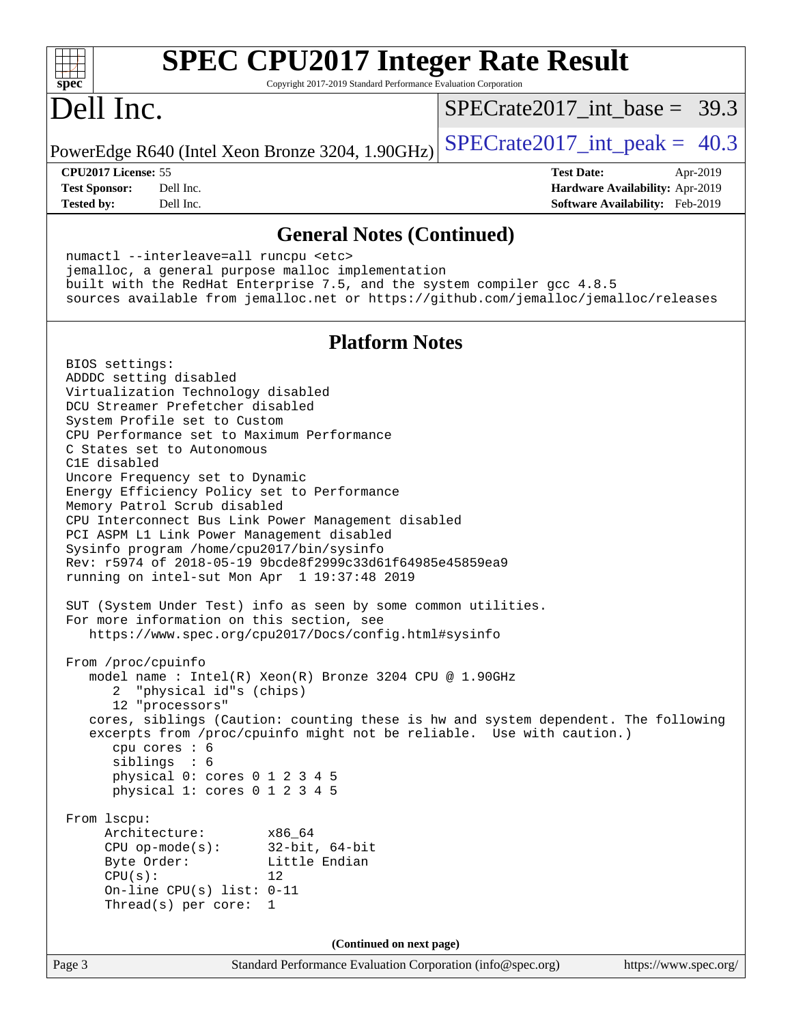| <b>SPEC CPU2017 Integer Rate Result</b>                                                                                                                                                                                                                                                                                                                                                                                                                                                                                                                                                                                                                                                                                                                                                                                                                                                                                                                                                                                                                                                                                                                                                                                                                                                                                                                                                              |                                  |
|------------------------------------------------------------------------------------------------------------------------------------------------------------------------------------------------------------------------------------------------------------------------------------------------------------------------------------------------------------------------------------------------------------------------------------------------------------------------------------------------------------------------------------------------------------------------------------------------------------------------------------------------------------------------------------------------------------------------------------------------------------------------------------------------------------------------------------------------------------------------------------------------------------------------------------------------------------------------------------------------------------------------------------------------------------------------------------------------------------------------------------------------------------------------------------------------------------------------------------------------------------------------------------------------------------------------------------------------------------------------------------------------------|----------------------------------|
| spec <sup>®</sup><br>Copyright 2017-2019 Standard Performance Evaluation Corporation<br>Dell Inc.                                                                                                                                                                                                                                                                                                                                                                                                                                                                                                                                                                                                                                                                                                                                                                                                                                                                                                                                                                                                                                                                                                                                                                                                                                                                                                    | $SPECTate2017\_int\_base = 39.3$ |
| PowerEdge R640 (Intel Xeon Bronze 3204, 1.90GHz)                                                                                                                                                                                                                                                                                                                                                                                                                                                                                                                                                                                                                                                                                                                                                                                                                                                                                                                                                                                                                                                                                                                                                                                                                                                                                                                                                     | $SPECTate2017\_int\_peak = 40.3$ |
| CPU2017 License: 55                                                                                                                                                                                                                                                                                                                                                                                                                                                                                                                                                                                                                                                                                                                                                                                                                                                                                                                                                                                                                                                                                                                                                                                                                                                                                                                                                                                  | <b>Test Date:</b><br>Apr-2019    |
| <b>Test Sponsor:</b><br>Dell Inc.                                                                                                                                                                                                                                                                                                                                                                                                                                                                                                                                                                                                                                                                                                                                                                                                                                                                                                                                                                                                                                                                                                                                                                                                                                                                                                                                                                    | Hardware Availability: Apr-2019  |
| Dell Inc.<br><b>Tested by:</b>                                                                                                                                                                                                                                                                                                                                                                                                                                                                                                                                                                                                                                                                                                                                                                                                                                                                                                                                                                                                                                                                                                                                                                                                                                                                                                                                                                       | Software Availability: Feb-2019  |
| <b>General Notes (Continued)</b>                                                                                                                                                                                                                                                                                                                                                                                                                                                                                                                                                                                                                                                                                                                                                                                                                                                                                                                                                                                                                                                                                                                                                                                                                                                                                                                                                                     |                                  |
| numactl --interleave=all runcpu <etc></etc>                                                                                                                                                                                                                                                                                                                                                                                                                                                                                                                                                                                                                                                                                                                                                                                                                                                                                                                                                                                                                                                                                                                                                                                                                                                                                                                                                          |                                  |
| jemalloc, a general purpose malloc implementation                                                                                                                                                                                                                                                                                                                                                                                                                                                                                                                                                                                                                                                                                                                                                                                                                                                                                                                                                                                                                                                                                                                                                                                                                                                                                                                                                    |                                  |
| built with the RedHat Enterprise 7.5, and the system compiler gcc 4.8.5<br>sources available from jemalloc.net or https://github.com/jemalloc/jemalloc/releases                                                                                                                                                                                                                                                                                                                                                                                                                                                                                                                                                                                                                                                                                                                                                                                                                                                                                                                                                                                                                                                                                                                                                                                                                                      |                                  |
| <b>Platform Notes</b>                                                                                                                                                                                                                                                                                                                                                                                                                                                                                                                                                                                                                                                                                                                                                                                                                                                                                                                                                                                                                                                                                                                                                                                                                                                                                                                                                                                |                                  |
| BIOS settings:<br>ADDDC setting disabled<br>Virtualization Technology disabled<br>DCU Streamer Prefetcher disabled<br>System Profile set to Custom<br>CPU Performance set to Maximum Performance<br>C States set to Autonomous<br>C1E disabled<br>Uncore Frequency set to Dynamic<br>Energy Efficiency Policy set to Performance<br>Memory Patrol Scrub disabled<br>CPU Interconnect Bus Link Power Management disabled<br>PCI ASPM L1 Link Power Management disabled<br>Sysinfo program /home/cpu2017/bin/sysinfo<br>Rev: r5974 of 2018-05-19 9bcde8f2999c33d61f64985e45859ea9<br>running on intel-sut Mon Apr 1 19:37:48 2019<br>SUT (System Under Test) info as seen by some common utilities.<br>For more information on this section, see<br>https://www.spec.org/cpu2017/Docs/config.html#sysinfo<br>From /proc/cpuinfo<br>model name : Intel(R) Xeon(R) Bronze 3204 CPU @ 1.90GHz<br>"physical id"s (chips)<br>12 "processors"<br>cores, siblings (Caution: counting these is hw and system dependent. The following<br>excerpts from /proc/cpuinfo might not be reliable. Use with caution.)<br>cpu cores : 6<br>siblings : 6<br>physical 0: cores 0 1 2 3 4 5<br>physical 1: cores 0 1 2 3 4 5<br>From 1scpu:<br>Architecture:<br>x86_64<br>32-bit, 64-bit<br>$CPU op-mode(s):$<br>Byte Order:<br>Little Endian<br>CPU(s):<br>12.<br>On-line CPU(s) list: $0-11$<br>Thread(s) per core: $1$ |                                  |
|                                                                                                                                                                                                                                                                                                                                                                                                                                                                                                                                                                                                                                                                                                                                                                                                                                                                                                                                                                                                                                                                                                                                                                                                                                                                                                                                                                                                      |                                  |
| (Continued on next page)<br>Page 3<br>Standard Performance Evaluation Corporation (info@spec.org)                                                                                                                                                                                                                                                                                                                                                                                                                                                                                                                                                                                                                                                                                                                                                                                                                                                                                                                                                                                                                                                                                                                                                                                                                                                                                                    | https://www.spec.org/            |
|                                                                                                                                                                                                                                                                                                                                                                                                                                                                                                                                                                                                                                                                                                                                                                                                                                                                                                                                                                                                                                                                                                                                                                                                                                                                                                                                                                                                      |                                  |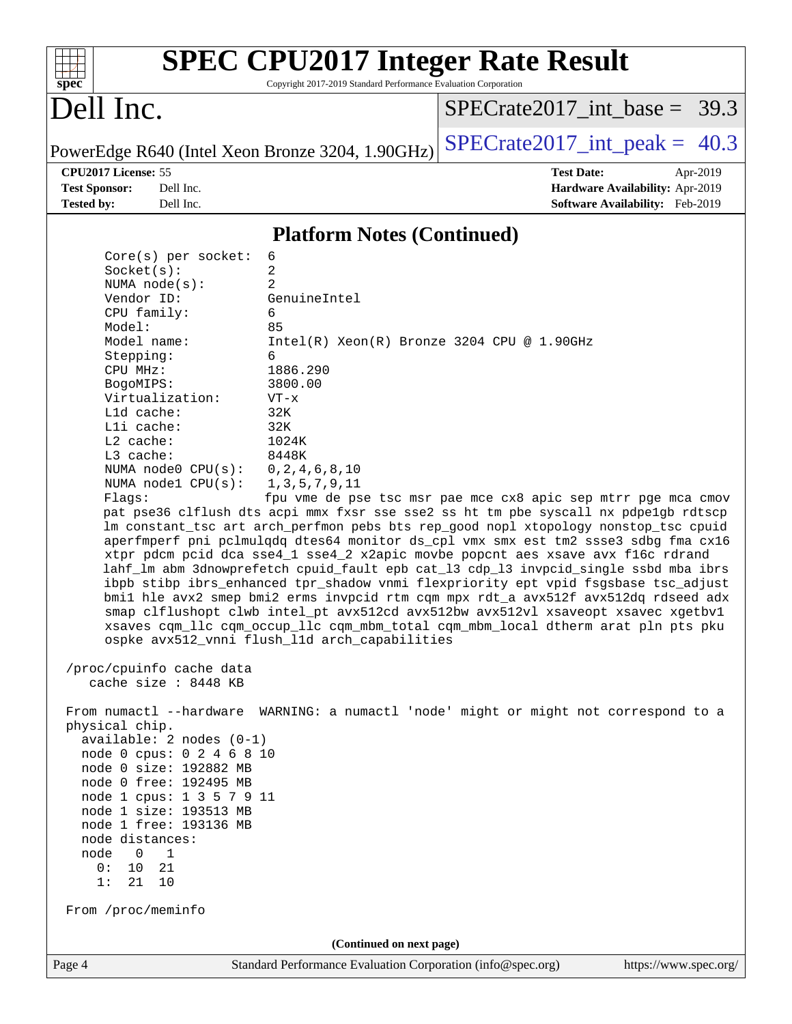|                                                                                                                                                                                                                                                                                                                                          | <b>SPEC CPU2017 Integer Rate Result</b>                         |                                                                                                                                                                                                                                                                                                                                                                                                                                                                                                                                  |
|------------------------------------------------------------------------------------------------------------------------------------------------------------------------------------------------------------------------------------------------------------------------------------------------------------------------------------------|-----------------------------------------------------------------|----------------------------------------------------------------------------------------------------------------------------------------------------------------------------------------------------------------------------------------------------------------------------------------------------------------------------------------------------------------------------------------------------------------------------------------------------------------------------------------------------------------------------------|
| $spec^*$                                                                                                                                                                                                                                                                                                                                 | Copyright 2017-2019 Standard Performance Evaluation Corporation |                                                                                                                                                                                                                                                                                                                                                                                                                                                                                                                                  |
| Dell Inc.                                                                                                                                                                                                                                                                                                                                |                                                                 | SPECrate2017 int base = $39.3$                                                                                                                                                                                                                                                                                                                                                                                                                                                                                                   |
|                                                                                                                                                                                                                                                                                                                                          | PowerEdge R640 (Intel Xeon Bronze 3204, 1.90GHz)                | $SPECTate2017\_int\_peak = 40.3$                                                                                                                                                                                                                                                                                                                                                                                                                                                                                                 |
| CPU2017 License: 55                                                                                                                                                                                                                                                                                                                      |                                                                 | <b>Test Date:</b><br>Apr-2019                                                                                                                                                                                                                                                                                                                                                                                                                                                                                                    |
| <b>Test Sponsor:</b><br>Dell Inc.<br><b>Tested by:</b><br>Dell Inc.                                                                                                                                                                                                                                                                      |                                                                 | Hardware Availability: Apr-2019<br><b>Software Availability:</b> Feb-2019                                                                                                                                                                                                                                                                                                                                                                                                                                                        |
|                                                                                                                                                                                                                                                                                                                                          | <b>Platform Notes (Continued)</b>                               |                                                                                                                                                                                                                                                                                                                                                                                                                                                                                                                                  |
| $Core(s)$ per socket:                                                                                                                                                                                                                                                                                                                    | 6                                                               |                                                                                                                                                                                                                                                                                                                                                                                                                                                                                                                                  |
| Socket(s):                                                                                                                                                                                                                                                                                                                               | 2                                                               |                                                                                                                                                                                                                                                                                                                                                                                                                                                                                                                                  |
| NUMA $node(s)$ :                                                                                                                                                                                                                                                                                                                         | 2                                                               |                                                                                                                                                                                                                                                                                                                                                                                                                                                                                                                                  |
| Vendor ID:                                                                                                                                                                                                                                                                                                                               | GenuineIntel                                                    |                                                                                                                                                                                                                                                                                                                                                                                                                                                                                                                                  |
| CPU family:<br>Model:                                                                                                                                                                                                                                                                                                                    | 6<br>85                                                         |                                                                                                                                                                                                                                                                                                                                                                                                                                                                                                                                  |
| Model name:                                                                                                                                                                                                                                                                                                                              | Intel(R) Xeon(R) Bronze 3204 CPU @ 1.90GHz                      |                                                                                                                                                                                                                                                                                                                                                                                                                                                                                                                                  |
| Stepping:                                                                                                                                                                                                                                                                                                                                | 6                                                               |                                                                                                                                                                                                                                                                                                                                                                                                                                                                                                                                  |
| CPU MHz:                                                                                                                                                                                                                                                                                                                                 | 1886.290                                                        |                                                                                                                                                                                                                                                                                                                                                                                                                                                                                                                                  |
| BogoMIPS:                                                                                                                                                                                                                                                                                                                                | 3800.00                                                         |                                                                                                                                                                                                                                                                                                                                                                                                                                                                                                                                  |
| Virtualization:                                                                                                                                                                                                                                                                                                                          | $VT - x$                                                        |                                                                                                                                                                                                                                                                                                                                                                                                                                                                                                                                  |
| Lld cache:<br>Lli cache:                                                                                                                                                                                                                                                                                                                 | 32K<br>32K                                                      |                                                                                                                                                                                                                                                                                                                                                                                                                                                                                                                                  |
| L2 cache:                                                                                                                                                                                                                                                                                                                                | 1024K                                                           |                                                                                                                                                                                                                                                                                                                                                                                                                                                                                                                                  |
| L3 cache:                                                                                                                                                                                                                                                                                                                                | 8448K                                                           |                                                                                                                                                                                                                                                                                                                                                                                                                                                                                                                                  |
| NUMA $node0$ $CPU(s)$ :                                                                                                                                                                                                                                                                                                                  | 0, 2, 4, 6, 8, 10                                               |                                                                                                                                                                                                                                                                                                                                                                                                                                                                                                                                  |
| NUMA $node1$ $CPU(s):$                                                                                                                                                                                                                                                                                                                   | 1, 3, 5, 7, 9, 11                                               |                                                                                                                                                                                                                                                                                                                                                                                                                                                                                                                                  |
| Flaqs:                                                                                                                                                                                                                                                                                                                                   |                                                                 | fpu vme de pse tsc msr pae mce cx8 apic sep mtrr pge mca cmov                                                                                                                                                                                                                                                                                                                                                                                                                                                                    |
|                                                                                                                                                                                                                                                                                                                                          |                                                                 | pat pse36 clflush dts acpi mmx fxsr sse sse2 ss ht tm pbe syscall nx pdpe1gb rdtscp<br>lm constant_tsc art arch_perfmon pebs bts rep_good nopl xtopology nonstop_tsc cpuid<br>aperfmperf pni pclmulqdq dtes64 monitor ds_cpl vmx smx est tm2 ssse3 sdbg fma cx16<br>xtpr pdcm pcid dca sse4_1 sse4_2 x2apic movbe popcnt aes xsave avx f16c rdrand<br>lahf_lm abm 3dnowprefetch cpuid_fault epb cat_13 cdp_13 invpcid_single ssbd mba ibrs<br>ibpb stibp ibrs_enhanced tpr_shadow vnmi flexpriority ept vpid fsgsbase tsc_adjust |
|                                                                                                                                                                                                                                                                                                                                          | ospke avx512_vnni flush_l1d arch_capabilities                   | bmil hle avx2 smep bmi2 erms invpcid rtm cqm mpx rdt_a avx512f avx512dq rdseed adx<br>smap clflushopt clwb intel_pt avx512cd avx512bw avx512vl xsaveopt xsavec xgetbvl<br>xsaves cqm_llc cqm_occup_llc cqm_mbm_total cqm_mbm_local dtherm arat pln pts pku                                                                                                                                                                                                                                                                       |
| /proc/cpuinfo cache data<br>cache size : 8448 KB                                                                                                                                                                                                                                                                                         |                                                                 |                                                                                                                                                                                                                                                                                                                                                                                                                                                                                                                                  |
| physical chip.<br>$available: 2 nodes (0-1)$<br>node 0 cpus: 0 2 4 6 8 10<br>node 0 size: 192882 MB<br>node 0 free: 192495 MB<br>node 1 cpus: 1 3 5 7 9 11<br>node 1 size: 193513 MB<br>node 1 free: 193136 MB<br>node distances:<br>node<br>$\overline{0}$<br>$\overline{1}$<br>0 :<br>10<br>21<br>1:<br>21<br>10<br>From /proc/meminfo |                                                                 | From numactl --hardware WARNING: a numactl 'node' might or might not correspond to a                                                                                                                                                                                                                                                                                                                                                                                                                                             |
|                                                                                                                                                                                                                                                                                                                                          | (Continued on next page)                                        |                                                                                                                                                                                                                                                                                                                                                                                                                                                                                                                                  |
| Page 4                                                                                                                                                                                                                                                                                                                                   | Standard Performance Evaluation Corporation (info@spec.org)     | https://www.spec.org/                                                                                                                                                                                                                                                                                                                                                                                                                                                                                                            |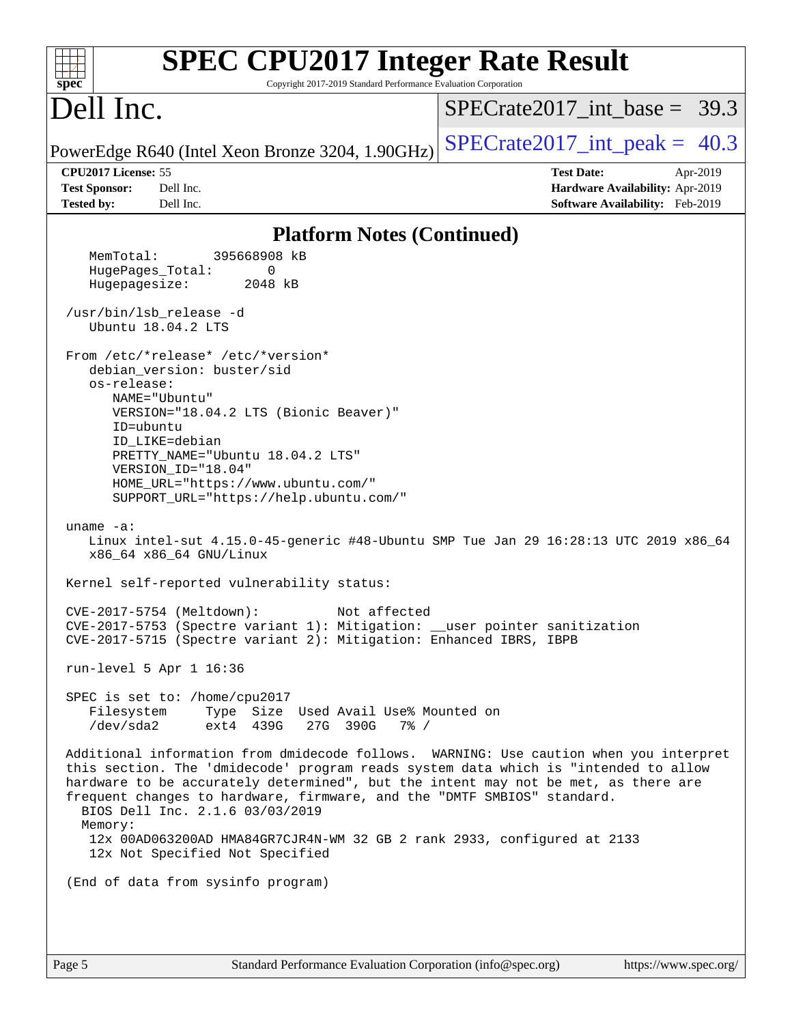| Dell Inc.<br>$SPECTate2017\_int\_peak = 40.3$<br>PowerEdge R640 (Intel Xeon Bronze 3204, 1.90GHz)<br>CPU2017 License: 55<br><b>Test Date:</b><br>Apr-2019<br><b>Test Sponsor:</b><br>Dell Inc.<br>Hardware Availability: Apr-2019<br><b>Tested by:</b><br>Dell Inc.<br>Software Availability: Feb-2019<br><b>Platform Notes (Continued)</b><br>MemTotal:<br>395668908 kB<br>HugePages_Total:<br>0<br>Hugepagesize:<br>2048 kB<br>/usr/bin/lsb_release -d<br>Ubuntu 18.04.2 LTS<br>From /etc/*release* /etc/*version*<br>debian_version: buster/sid<br>os-release:<br>NAME="Ubuntu"<br>VERSION="18.04.2 LTS (Bionic Beaver)"<br>ID=ubuntu<br>ID LIKE=debian<br>PRETTY_NAME="Ubuntu 18.04.2 LTS"<br>VERSION_ID="18.04"<br>HOME_URL="https://www.ubuntu.com/"<br>SUPPORT_URL="https://help.ubuntu.com/"<br>uname $-a$ :<br>Linux intel-sut 4.15.0-45-generic #48-Ubuntu SMP Tue Jan 29 16:28:13 UTC 2019 x86_64<br>x86_64 x86_64 GNU/Linux<br>Kernel self-reported vulnerability status:<br>CVE-2017-5754 (Meltdown):<br>Not affected<br>CVE-2017-5753 (Spectre variant 1): Mitigation: __user pointer sanitization<br>CVE-2017-5715 (Spectre variant 2): Mitigation: Enhanced IBRS, IBPB<br>run-level 5 Apr 1 16:36<br>SPEC is set to: /home/cpu2017<br>Filesystem<br>Type Size Used Avail Use% Mounted on<br>/dev/sda2<br>ext4 439G<br>27G 390G<br>$7\%$ /<br>Additional information from dmidecode follows. WARNING: Use caution when you interpret<br>this section. The 'dmidecode' program reads system data which is "intended to allow<br>hardware to be accurately determined", but the intent may not be met, as there are<br>frequent changes to hardware, firmware, and the "DMTF SMBIOS" standard.<br>BIOS Dell Inc. 2.1.6 03/03/2019<br>Memory:<br>12x 00AD063200AD HMA84GR7CJR4N-WM 32 GB 2 rank 2933, configured at 2133<br>12x Not Specified Not Specified<br>(End of data from sysinfo program) | <b>SPEC CPU2017 Integer Rate Result</b><br>Copyright 2017-2019 Standard Performance Evaluation Corporation<br>$spec^*$ |                                |
|---------------------------------------------------------------------------------------------------------------------------------------------------------------------------------------------------------------------------------------------------------------------------------------------------------------------------------------------------------------------------------------------------------------------------------------------------------------------------------------------------------------------------------------------------------------------------------------------------------------------------------------------------------------------------------------------------------------------------------------------------------------------------------------------------------------------------------------------------------------------------------------------------------------------------------------------------------------------------------------------------------------------------------------------------------------------------------------------------------------------------------------------------------------------------------------------------------------------------------------------------------------------------------------------------------------------------------------------------------------------------------------------------------------------------------------------------------------------------------------------------------------------------------------------------------------------------------------------------------------------------------------------------------------------------------------------------------------------------------------------------------------------------------------------------------------------------------------------------------------------------------------------------------------|------------------------------------------------------------------------------------------------------------------------|--------------------------------|
|                                                                                                                                                                                                                                                                                                                                                                                                                                                                                                                                                                                                                                                                                                                                                                                                                                                                                                                                                                                                                                                                                                                                                                                                                                                                                                                                                                                                                                                                                                                                                                                                                                                                                                                                                                                                                                                                                                               |                                                                                                                        | $SPECTate2017$ int base = 39.3 |
|                                                                                                                                                                                                                                                                                                                                                                                                                                                                                                                                                                                                                                                                                                                                                                                                                                                                                                                                                                                                                                                                                                                                                                                                                                                                                                                                                                                                                                                                                                                                                                                                                                                                                                                                                                                                                                                                                                               |                                                                                                                        |                                |
|                                                                                                                                                                                                                                                                                                                                                                                                                                                                                                                                                                                                                                                                                                                                                                                                                                                                                                                                                                                                                                                                                                                                                                                                                                                                                                                                                                                                                                                                                                                                                                                                                                                                                                                                                                                                                                                                                                               |                                                                                                                        |                                |
|                                                                                                                                                                                                                                                                                                                                                                                                                                                                                                                                                                                                                                                                                                                                                                                                                                                                                                                                                                                                                                                                                                                                                                                                                                                                                                                                                                                                                                                                                                                                                                                                                                                                                                                                                                                                                                                                                                               |                                                                                                                        |                                |
|                                                                                                                                                                                                                                                                                                                                                                                                                                                                                                                                                                                                                                                                                                                                                                                                                                                                                                                                                                                                                                                                                                                                                                                                                                                                                                                                                                                                                                                                                                                                                                                                                                                                                                                                                                                                                                                                                                               |                                                                                                                        |                                |
|                                                                                                                                                                                                                                                                                                                                                                                                                                                                                                                                                                                                                                                                                                                                                                                                                                                                                                                                                                                                                                                                                                                                                                                                                                                                                                                                                                                                                                                                                                                                                                                                                                                                                                                                                                                                                                                                                                               |                                                                                                                        |                                |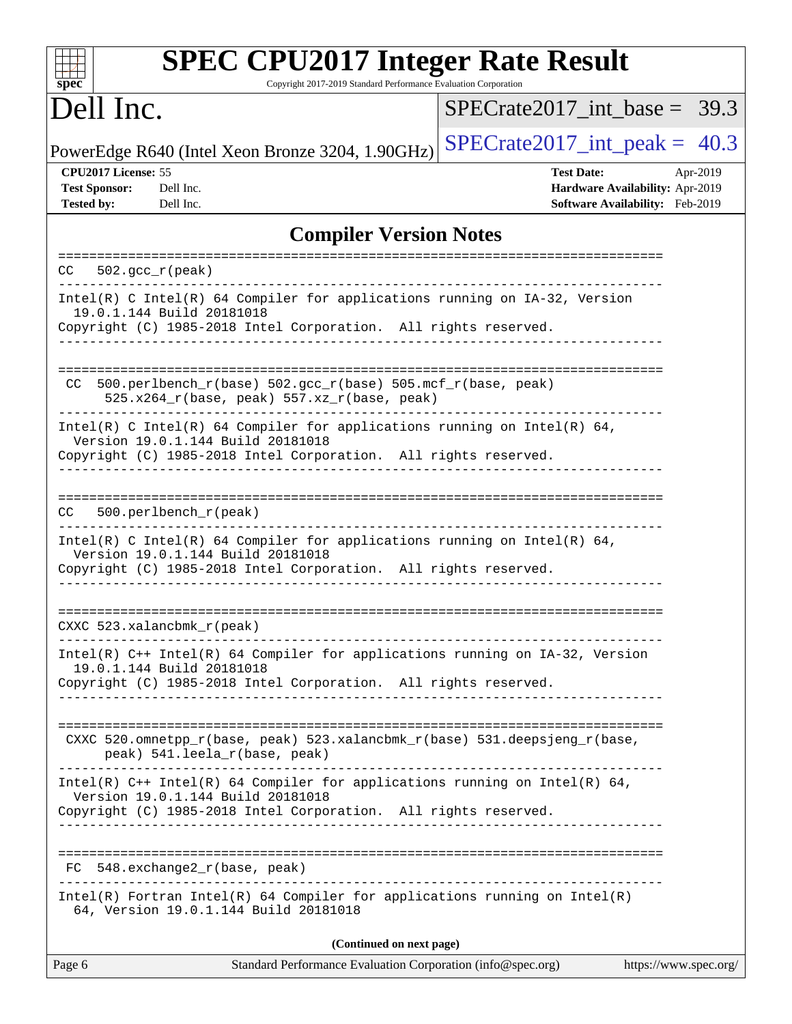| <b>SPEC CPU2017 Integer Rate Result</b><br>Copyright 2017-2019 Standard Performance Evaluation Corporation<br>spec                                                                 |                                                                                                     |
|------------------------------------------------------------------------------------------------------------------------------------------------------------------------------------|-----------------------------------------------------------------------------------------------------|
| Dell Inc.                                                                                                                                                                          | $SPECTate2017$ int base = 39.3                                                                      |
| PowerEdge R640 (Intel Xeon Bronze 3204, 1.90GHz)                                                                                                                                   | $SPECTate2017\_int\_peak = 40.3$                                                                    |
| CPU2017 License: 55<br><b>Test Sponsor:</b><br>Dell Inc.<br><b>Tested by:</b><br>Dell Inc.                                                                                         | <b>Test Date:</b><br>Apr-2019<br>Hardware Availability: Apr-2019<br>Software Availability: Feb-2019 |
| <b>Compiler Version Notes</b>                                                                                                                                                      |                                                                                                     |
| $502. \text{gcc\_r}(\text{peak})$<br>CC.                                                                                                                                           |                                                                                                     |
| $Intel(R)$ C Intel(R) 64 Compiler for applications running on $IA-32$ , Version<br>19.0.1.144 Build 20181018<br>Copyright (C) 1985-2018 Intel Corporation. All rights reserved.    |                                                                                                     |
|                                                                                                                                                                                    |                                                                                                     |
| 500.perlbench_r(base) 502.gcc_r(base) 505.mcf_r(base, peak)<br>CC.<br>525.x264_r(base, peak) 557.xz_r(base, peak)                                                                  |                                                                                                     |
| Intel(R) C Intel(R) 64 Compiler for applications running on Intel(R) 64,<br>Version 19.0.1.144 Build 20181018<br>Copyright (C) 1985-2018 Intel Corporation. All rights reserved.   |                                                                                                     |
| 500.perlbench_r(peak)<br>CC.                                                                                                                                                       |                                                                                                     |
| Intel(R) C Intel(R) 64 Compiler for applications running on Intel(R) 64,<br>Version 19.0.1.144 Build 20181018<br>Copyright (C) 1985-2018 Intel Corporation. All rights reserved.   |                                                                                                     |
| CXXC 523.xalancbmk_r(peak)                                                                                                                                                         |                                                                                                     |
| Intel(R) C++ Intel(R) 64 Compiler for applications running on IA-32, Version<br>19.0.1.144 Build 20181018<br>Copyright (C) 1985-2018 Intel Corporation. All rights reserved.       |                                                                                                     |
| CXXC 520.omnetpp_r(base, peak) 523.xalancbmk_r(base) 531.deepsjeng_r(base,<br>peak) 541.leela_r(base, peak)                                                                        |                                                                                                     |
| Intel(R) C++ Intel(R) 64 Compiler for applications running on Intel(R) 64,<br>Version 19.0.1.144 Build 20181018<br>Copyright (C) 1985-2018 Intel Corporation. All rights reserved. |                                                                                                     |
| FC 548.exchange2_r(base, peak)                                                                                                                                                     |                                                                                                     |
| Intel(R) Fortran Intel(R) 64 Compiler for applications running on Intel(R)<br>64, Version 19.0.1.144 Build 20181018                                                                |                                                                                                     |
| (Continued on next page)                                                                                                                                                           |                                                                                                     |
| Page 6<br>Standard Performance Evaluation Corporation (info@spec.org)                                                                                                              | https://www.spec.org/                                                                               |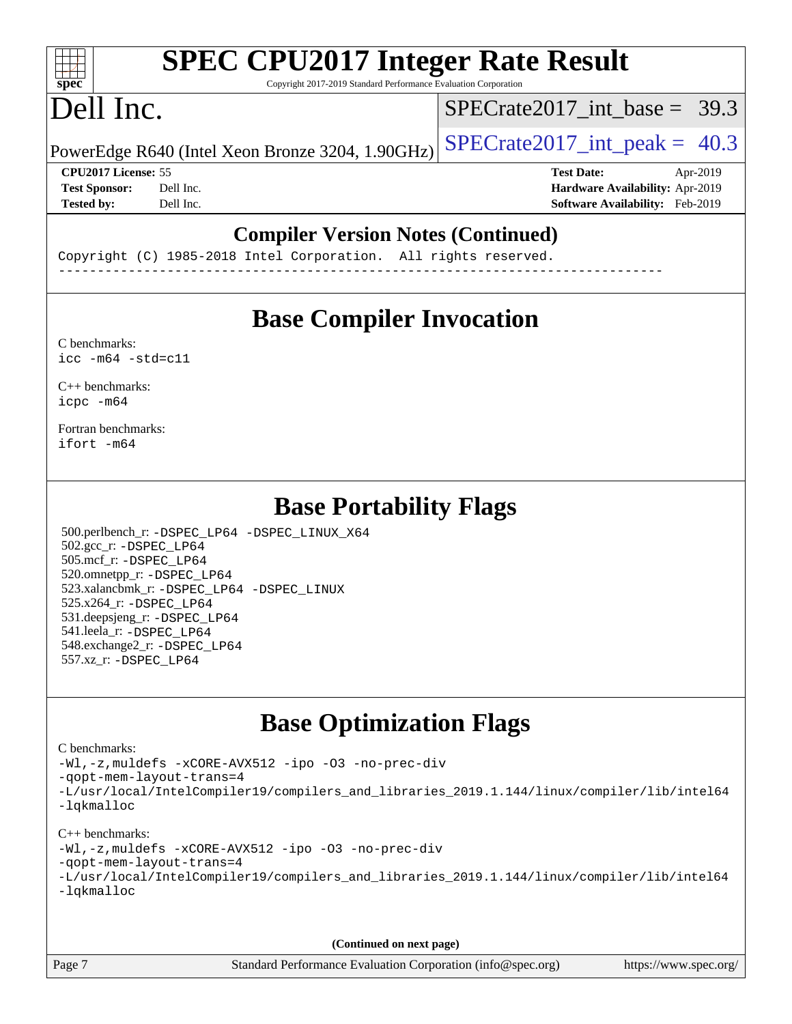#### $+\ +$ **[spec](http://www.spec.org/)**

# **[SPEC CPU2017 Integer Rate Result](http://www.spec.org/auto/cpu2017/Docs/result-fields.html#SPECCPU2017IntegerRateResult)**

Copyright 2017-2019 Standard Performance Evaluation Corporation

## Dell Inc.

SPECrate2017 int\_base =  $39.3$ 

PowerEdge R640 (Intel Xeon Bronze 3204, 1.90GHz)  $\text{SPECrate}2017\_int\_peak = 40.3$ 

**[CPU2017 License:](http://www.spec.org/auto/cpu2017/Docs/result-fields.html#CPU2017License)** 55 **[Test Date:](http://www.spec.org/auto/cpu2017/Docs/result-fields.html#TestDate)** Apr-2019 **[Test Sponsor:](http://www.spec.org/auto/cpu2017/Docs/result-fields.html#TestSponsor)** Dell Inc. **[Hardware Availability:](http://www.spec.org/auto/cpu2017/Docs/result-fields.html#HardwareAvailability)** Apr-2019 **[Tested by:](http://www.spec.org/auto/cpu2017/Docs/result-fields.html#Testedby)** Dell Inc. **[Software Availability:](http://www.spec.org/auto/cpu2017/Docs/result-fields.html#SoftwareAvailability)** Feb-2019

#### **[Compiler Version Notes \(Continued\)](http://www.spec.org/auto/cpu2017/Docs/result-fields.html#CompilerVersionNotes)**

Copyright (C) 1985-2018 Intel Corporation. All rights reserved. ------------------------------------------------------------------------------

#### **[Base Compiler Invocation](http://www.spec.org/auto/cpu2017/Docs/result-fields.html#BaseCompilerInvocation)**

[C benchmarks](http://www.spec.org/auto/cpu2017/Docs/result-fields.html#Cbenchmarks):  $\text{icc}$  -m64 -std=c11

[C++ benchmarks:](http://www.spec.org/auto/cpu2017/Docs/result-fields.html#CXXbenchmarks) [icpc -m64](http://www.spec.org/cpu2017/results/res2019q2/cpu2017-20190415-11965.flags.html#user_CXXbase_intel_icpc_64bit_4ecb2543ae3f1412ef961e0650ca070fec7b7afdcd6ed48761b84423119d1bf6bdf5cad15b44d48e7256388bc77273b966e5eb805aefd121eb22e9299b2ec9d9)

[Fortran benchmarks](http://www.spec.org/auto/cpu2017/Docs/result-fields.html#Fortranbenchmarks): [ifort -m64](http://www.spec.org/cpu2017/results/res2019q2/cpu2017-20190415-11965.flags.html#user_FCbase_intel_ifort_64bit_24f2bb282fbaeffd6157abe4f878425411749daecae9a33200eee2bee2fe76f3b89351d69a8130dd5949958ce389cf37ff59a95e7a40d588e8d3a57e0c3fd751)

#### **[Base Portability Flags](http://www.spec.org/auto/cpu2017/Docs/result-fields.html#BasePortabilityFlags)**

 500.perlbench\_r: [-DSPEC\\_LP64](http://www.spec.org/cpu2017/results/res2019q2/cpu2017-20190415-11965.flags.html#b500.perlbench_r_basePORTABILITY_DSPEC_LP64) [-DSPEC\\_LINUX\\_X64](http://www.spec.org/cpu2017/results/res2019q2/cpu2017-20190415-11965.flags.html#b500.perlbench_r_baseCPORTABILITY_DSPEC_LINUX_X64) 502.gcc\_r: [-DSPEC\\_LP64](http://www.spec.org/cpu2017/results/res2019q2/cpu2017-20190415-11965.flags.html#suite_basePORTABILITY502_gcc_r_DSPEC_LP64) 505.mcf\_r: [-DSPEC\\_LP64](http://www.spec.org/cpu2017/results/res2019q2/cpu2017-20190415-11965.flags.html#suite_basePORTABILITY505_mcf_r_DSPEC_LP64) 520.omnetpp\_r: [-DSPEC\\_LP64](http://www.spec.org/cpu2017/results/res2019q2/cpu2017-20190415-11965.flags.html#suite_basePORTABILITY520_omnetpp_r_DSPEC_LP64) 523.xalancbmk\_r: [-DSPEC\\_LP64](http://www.spec.org/cpu2017/results/res2019q2/cpu2017-20190415-11965.flags.html#suite_basePORTABILITY523_xalancbmk_r_DSPEC_LP64) [-DSPEC\\_LINUX](http://www.spec.org/cpu2017/results/res2019q2/cpu2017-20190415-11965.flags.html#b523.xalancbmk_r_baseCXXPORTABILITY_DSPEC_LINUX) 525.x264\_r: [-DSPEC\\_LP64](http://www.spec.org/cpu2017/results/res2019q2/cpu2017-20190415-11965.flags.html#suite_basePORTABILITY525_x264_r_DSPEC_LP64) 531.deepsjeng\_r: [-DSPEC\\_LP64](http://www.spec.org/cpu2017/results/res2019q2/cpu2017-20190415-11965.flags.html#suite_basePORTABILITY531_deepsjeng_r_DSPEC_LP64) 541.leela\_r: [-DSPEC\\_LP64](http://www.spec.org/cpu2017/results/res2019q2/cpu2017-20190415-11965.flags.html#suite_basePORTABILITY541_leela_r_DSPEC_LP64) 548.exchange2\_r: [-DSPEC\\_LP64](http://www.spec.org/cpu2017/results/res2019q2/cpu2017-20190415-11965.flags.html#suite_basePORTABILITY548_exchange2_r_DSPEC_LP64) 557.xz\_r: [-DSPEC\\_LP64](http://www.spec.org/cpu2017/results/res2019q2/cpu2017-20190415-11965.flags.html#suite_basePORTABILITY557_xz_r_DSPEC_LP64)

#### **[Base Optimization Flags](http://www.spec.org/auto/cpu2017/Docs/result-fields.html#BaseOptimizationFlags)**

#### [C benchmarks](http://www.spec.org/auto/cpu2017/Docs/result-fields.html#Cbenchmarks):

[-Wl,-z,muldefs](http://www.spec.org/cpu2017/results/res2019q2/cpu2017-20190415-11965.flags.html#user_CCbase_link_force_multiple1_b4cbdb97b34bdee9ceefcfe54f4c8ea74255f0b02a4b23e853cdb0e18eb4525ac79b5a88067c842dd0ee6996c24547a27a4b99331201badda8798ef8a743f577) [-xCORE-AVX512](http://www.spec.org/cpu2017/results/res2019q2/cpu2017-20190415-11965.flags.html#user_CCbase_f-xCORE-AVX512) [-ipo](http://www.spec.org/cpu2017/results/res2019q2/cpu2017-20190415-11965.flags.html#user_CCbase_f-ipo) [-O3](http://www.spec.org/cpu2017/results/res2019q2/cpu2017-20190415-11965.flags.html#user_CCbase_f-O3) [-no-prec-div](http://www.spec.org/cpu2017/results/res2019q2/cpu2017-20190415-11965.flags.html#user_CCbase_f-no-prec-div) [-qopt-mem-layout-trans=4](http://www.spec.org/cpu2017/results/res2019q2/cpu2017-20190415-11965.flags.html#user_CCbase_f-qopt-mem-layout-trans_fa39e755916c150a61361b7846f310bcdf6f04e385ef281cadf3647acec3f0ae266d1a1d22d972a7087a248fd4e6ca390a3634700869573d231a252c784941a8) [-L/usr/local/IntelCompiler19/compilers\\_and\\_libraries\\_2019.1.144/linux/compiler/lib/intel64](http://www.spec.org/cpu2017/results/res2019q2/cpu2017-20190415-11965.flags.html#user_CCbase_qkmalloc_link_f25da0aa8cf9bced0533715046f0c2fbfb1a7191e3e496916672e09b4c388a884c4c7e4862cb529343da2264b43416df65c99fd1ddbf5dd13ae6d3130cf47881) [-lqkmalloc](http://www.spec.org/cpu2017/results/res2019q2/cpu2017-20190415-11965.flags.html#user_CCbase_qkmalloc_link_lib_79a818439969f771c6bc311cfd333c00fc099dad35c030f5aab9dda831713d2015205805422f83de8875488a2991c0a156aaa600e1f9138f8fc37004abc96dc5)

#### [C++ benchmarks](http://www.spec.org/auto/cpu2017/Docs/result-fields.html#CXXbenchmarks):

[-Wl,-z,muldefs](http://www.spec.org/cpu2017/results/res2019q2/cpu2017-20190415-11965.flags.html#user_CXXbase_link_force_multiple1_b4cbdb97b34bdee9ceefcfe54f4c8ea74255f0b02a4b23e853cdb0e18eb4525ac79b5a88067c842dd0ee6996c24547a27a4b99331201badda8798ef8a743f577) [-xCORE-AVX512](http://www.spec.org/cpu2017/results/res2019q2/cpu2017-20190415-11965.flags.html#user_CXXbase_f-xCORE-AVX512) [-ipo](http://www.spec.org/cpu2017/results/res2019q2/cpu2017-20190415-11965.flags.html#user_CXXbase_f-ipo) [-O3](http://www.spec.org/cpu2017/results/res2019q2/cpu2017-20190415-11965.flags.html#user_CXXbase_f-O3) [-no-prec-div](http://www.spec.org/cpu2017/results/res2019q2/cpu2017-20190415-11965.flags.html#user_CXXbase_f-no-prec-div)

[-qopt-mem-layout-trans=4](http://www.spec.org/cpu2017/results/res2019q2/cpu2017-20190415-11965.flags.html#user_CXXbase_f-qopt-mem-layout-trans_fa39e755916c150a61361b7846f310bcdf6f04e385ef281cadf3647acec3f0ae266d1a1d22d972a7087a248fd4e6ca390a3634700869573d231a252c784941a8)

|            | -L/usr/local/IntelCompiler19/compilers_and_libraries_2019.1.144/linux/compiler/lib/intel64 |  |  |  |  |  |
|------------|--------------------------------------------------------------------------------------------|--|--|--|--|--|
| -lqkmalloc |                                                                                            |  |  |  |  |  |

**(Continued on next page)**

Page 7 Standard Performance Evaluation Corporation [\(info@spec.org\)](mailto:info@spec.org) <https://www.spec.org/>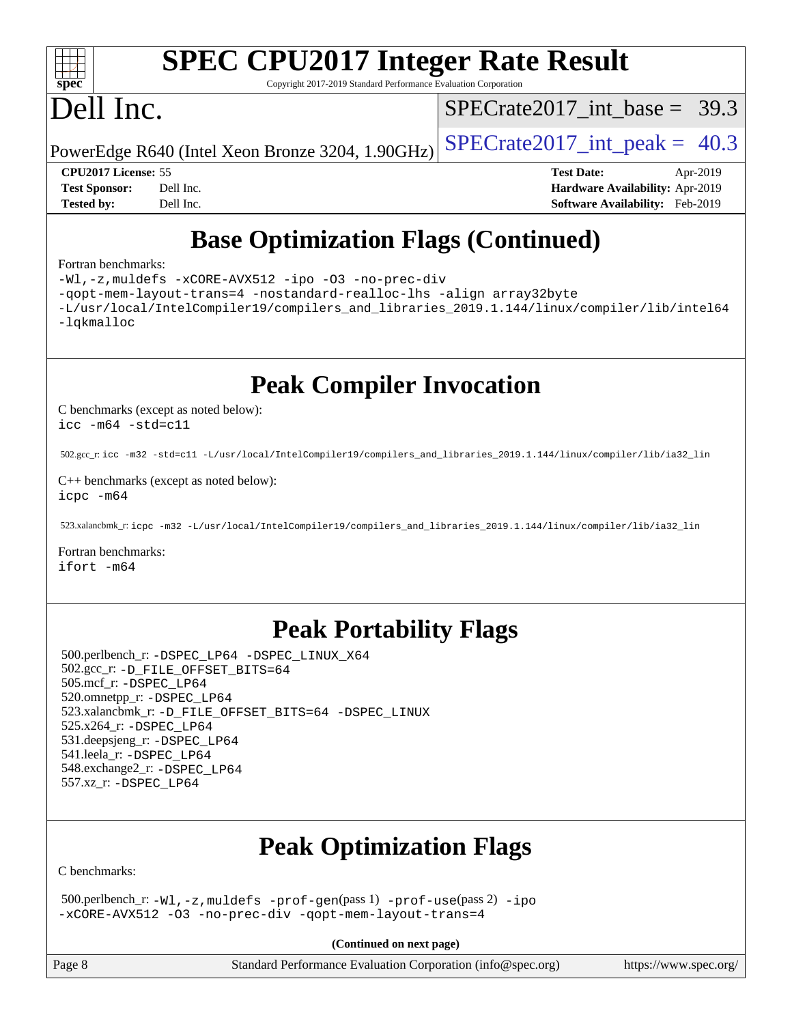

# **[SPEC CPU2017 Integer Rate Result](http://www.spec.org/auto/cpu2017/Docs/result-fields.html#SPECCPU2017IntegerRateResult)**

Copyright 2017-2019 Standard Performance Evaluation Corporation

# Dell Inc.

SPECrate2017 int\_base =  $39.3$ 

PowerEdge R640 (Intel Xeon Bronze 3204, 1.90GHz)  $\text{SPECrate}2017\_int\_peak = 40.3$ 

**[CPU2017 License:](http://www.spec.org/auto/cpu2017/Docs/result-fields.html#CPU2017License)** 55 **[Test Date:](http://www.spec.org/auto/cpu2017/Docs/result-fields.html#TestDate)** Apr-2019 **[Test Sponsor:](http://www.spec.org/auto/cpu2017/Docs/result-fields.html#TestSponsor)** Dell Inc. **[Hardware Availability:](http://www.spec.org/auto/cpu2017/Docs/result-fields.html#HardwareAvailability)** Apr-2019 **[Tested by:](http://www.spec.org/auto/cpu2017/Docs/result-fields.html#Testedby)** Dell Inc. **[Software Availability:](http://www.spec.org/auto/cpu2017/Docs/result-fields.html#SoftwareAvailability)** Feb-2019

### **[Base Optimization Flags \(Continued\)](http://www.spec.org/auto/cpu2017/Docs/result-fields.html#BaseOptimizationFlags)**

#### [Fortran benchmarks](http://www.spec.org/auto/cpu2017/Docs/result-fields.html#Fortranbenchmarks):

[-Wl,-z,muldefs](http://www.spec.org/cpu2017/results/res2019q2/cpu2017-20190415-11965.flags.html#user_FCbase_link_force_multiple1_b4cbdb97b34bdee9ceefcfe54f4c8ea74255f0b02a4b23e853cdb0e18eb4525ac79b5a88067c842dd0ee6996c24547a27a4b99331201badda8798ef8a743f577) [-xCORE-AVX512](http://www.spec.org/cpu2017/results/res2019q2/cpu2017-20190415-11965.flags.html#user_FCbase_f-xCORE-AVX512) [-ipo](http://www.spec.org/cpu2017/results/res2019q2/cpu2017-20190415-11965.flags.html#user_FCbase_f-ipo) [-O3](http://www.spec.org/cpu2017/results/res2019q2/cpu2017-20190415-11965.flags.html#user_FCbase_f-O3) [-no-prec-div](http://www.spec.org/cpu2017/results/res2019q2/cpu2017-20190415-11965.flags.html#user_FCbase_f-no-prec-div) [-qopt-mem-layout-trans=4](http://www.spec.org/cpu2017/results/res2019q2/cpu2017-20190415-11965.flags.html#user_FCbase_f-qopt-mem-layout-trans_fa39e755916c150a61361b7846f310bcdf6f04e385ef281cadf3647acec3f0ae266d1a1d22d972a7087a248fd4e6ca390a3634700869573d231a252c784941a8) [-nostandard-realloc-lhs](http://www.spec.org/cpu2017/results/res2019q2/cpu2017-20190415-11965.flags.html#user_FCbase_f_2003_std_realloc_82b4557e90729c0f113870c07e44d33d6f5a304b4f63d4c15d2d0f1fab99f5daaed73bdb9275d9ae411527f28b936061aa8b9c8f2d63842963b95c9dd6426b8a) [-align array32byte](http://www.spec.org/cpu2017/results/res2019q2/cpu2017-20190415-11965.flags.html#user_FCbase_align_array32byte_b982fe038af199962ba9a80c053b8342c548c85b40b8e86eb3cc33dee0d7986a4af373ac2d51c3f7cf710a18d62fdce2948f201cd044323541f22fc0fffc51b6) [-L/usr/local/IntelCompiler19/compilers\\_and\\_libraries\\_2019.1.144/linux/compiler/lib/intel64](http://www.spec.org/cpu2017/results/res2019q2/cpu2017-20190415-11965.flags.html#user_FCbase_qkmalloc_link_f25da0aa8cf9bced0533715046f0c2fbfb1a7191e3e496916672e09b4c388a884c4c7e4862cb529343da2264b43416df65c99fd1ddbf5dd13ae6d3130cf47881) [-lqkmalloc](http://www.spec.org/cpu2017/results/res2019q2/cpu2017-20190415-11965.flags.html#user_FCbase_qkmalloc_link_lib_79a818439969f771c6bc311cfd333c00fc099dad35c030f5aab9dda831713d2015205805422f83de8875488a2991c0a156aaa600e1f9138f8fc37004abc96dc5)

**[Peak Compiler Invocation](http://www.spec.org/auto/cpu2017/Docs/result-fields.html#PeakCompilerInvocation)**

[C benchmarks \(except as noted below\)](http://www.spec.org/auto/cpu2017/Docs/result-fields.html#Cbenchmarksexceptasnotedbelow): [icc -m64 -std=c11](http://www.spec.org/cpu2017/results/res2019q2/cpu2017-20190415-11965.flags.html#user_CCpeak_intel_icc_64bit_c11_33ee0cdaae7deeeab2a9725423ba97205ce30f63b9926c2519791662299b76a0318f32ddfffdc46587804de3178b4f9328c46fa7c2b0cd779d7a61945c91cd35)

502.gcc\_r: [icc -m32 -std=c11 -L/usr/local/IntelCompiler19/compilers\\_and\\_libraries\\_2019.1.144/linux/compiler/lib/ia32\\_lin](http://www.spec.org/cpu2017/results/res2019q2/cpu2017-20190415-11965.flags.html#user_peakCCLD502_gcc_r_intel_icc_40453ff6bf9521e1d4c2d3e2fb99253a88fa516366d57fe908127cec2d2803e1a519020f7199618d366f5331d17d60a40bdca38a56a807895183dcecb671b0e5)

[C++ benchmarks \(except as noted below\)](http://www.spec.org/auto/cpu2017/Docs/result-fields.html#CXXbenchmarksexceptasnotedbelow): [icpc -m64](http://www.spec.org/cpu2017/results/res2019q2/cpu2017-20190415-11965.flags.html#user_CXXpeak_intel_icpc_64bit_4ecb2543ae3f1412ef961e0650ca070fec7b7afdcd6ed48761b84423119d1bf6bdf5cad15b44d48e7256388bc77273b966e5eb805aefd121eb22e9299b2ec9d9)

523.xalancbmk\_r: [icpc -m32 -L/usr/local/IntelCompiler19/compilers\\_and\\_libraries\\_2019.1.144/linux/compiler/lib/ia32\\_lin](http://www.spec.org/cpu2017/results/res2019q2/cpu2017-20190415-11965.flags.html#user_peakCXXLD523_xalancbmk_r_intel_icpc_da1545662a59c569b62a27824af614167f9a0289efc0155d279b219af3bd2ccb3c10a77eb36bcb264d681e48d9166bbcec9d21ef2c85e5a63a687a8887ddded7)

[Fortran benchmarks](http://www.spec.org/auto/cpu2017/Docs/result-fields.html#Fortranbenchmarks): [ifort -m64](http://www.spec.org/cpu2017/results/res2019q2/cpu2017-20190415-11965.flags.html#user_FCpeak_intel_ifort_64bit_24f2bb282fbaeffd6157abe4f878425411749daecae9a33200eee2bee2fe76f3b89351d69a8130dd5949958ce389cf37ff59a95e7a40d588e8d3a57e0c3fd751)

#### **[Peak Portability Flags](http://www.spec.org/auto/cpu2017/Docs/result-fields.html#PeakPortabilityFlags)**

 500.perlbench\_r: [-DSPEC\\_LP64](http://www.spec.org/cpu2017/results/res2019q2/cpu2017-20190415-11965.flags.html#b500.perlbench_r_peakPORTABILITY_DSPEC_LP64) [-DSPEC\\_LINUX\\_X64](http://www.spec.org/cpu2017/results/res2019q2/cpu2017-20190415-11965.flags.html#b500.perlbench_r_peakCPORTABILITY_DSPEC_LINUX_X64) 502.gcc\_r: [-D\\_FILE\\_OFFSET\\_BITS=64](http://www.spec.org/cpu2017/results/res2019q2/cpu2017-20190415-11965.flags.html#user_peakPORTABILITY502_gcc_r_file_offset_bits_64_5ae949a99b284ddf4e95728d47cb0843d81b2eb0e18bdfe74bbf0f61d0b064f4bda2f10ea5eb90e1dcab0e84dbc592acfc5018bc955c18609f94ddb8d550002c) 505.mcf\_r: [-DSPEC\\_LP64](http://www.spec.org/cpu2017/results/res2019q2/cpu2017-20190415-11965.flags.html#suite_peakPORTABILITY505_mcf_r_DSPEC_LP64) 520.omnetpp\_r: [-DSPEC\\_LP64](http://www.spec.org/cpu2017/results/res2019q2/cpu2017-20190415-11965.flags.html#suite_peakPORTABILITY520_omnetpp_r_DSPEC_LP64) 523.xalancbmk\_r: [-D\\_FILE\\_OFFSET\\_BITS=64](http://www.spec.org/cpu2017/results/res2019q2/cpu2017-20190415-11965.flags.html#user_peakPORTABILITY523_xalancbmk_r_file_offset_bits_64_5ae949a99b284ddf4e95728d47cb0843d81b2eb0e18bdfe74bbf0f61d0b064f4bda2f10ea5eb90e1dcab0e84dbc592acfc5018bc955c18609f94ddb8d550002c) [-DSPEC\\_LINUX](http://www.spec.org/cpu2017/results/res2019q2/cpu2017-20190415-11965.flags.html#b523.xalancbmk_r_peakCXXPORTABILITY_DSPEC_LINUX) 525.x264\_r: [-DSPEC\\_LP64](http://www.spec.org/cpu2017/results/res2019q2/cpu2017-20190415-11965.flags.html#suite_peakPORTABILITY525_x264_r_DSPEC_LP64) 531.deepsjeng\_r: [-DSPEC\\_LP64](http://www.spec.org/cpu2017/results/res2019q2/cpu2017-20190415-11965.flags.html#suite_peakPORTABILITY531_deepsjeng_r_DSPEC_LP64) 541.leela\_r: [-DSPEC\\_LP64](http://www.spec.org/cpu2017/results/res2019q2/cpu2017-20190415-11965.flags.html#suite_peakPORTABILITY541_leela_r_DSPEC_LP64) 548.exchange2\_r: [-DSPEC\\_LP64](http://www.spec.org/cpu2017/results/res2019q2/cpu2017-20190415-11965.flags.html#suite_peakPORTABILITY548_exchange2_r_DSPEC_LP64) 557.xz\_r: [-DSPEC\\_LP64](http://www.spec.org/cpu2017/results/res2019q2/cpu2017-20190415-11965.flags.html#suite_peakPORTABILITY557_xz_r_DSPEC_LP64)

### **[Peak Optimization Flags](http://www.spec.org/auto/cpu2017/Docs/result-fields.html#PeakOptimizationFlags)**

[C benchmarks](http://www.spec.org/auto/cpu2017/Docs/result-fields.html#Cbenchmarks):

 500.perlbench\_r: [-Wl,-z,muldefs](http://www.spec.org/cpu2017/results/res2019q2/cpu2017-20190415-11965.flags.html#user_peakEXTRA_LDFLAGS500_perlbench_r_link_force_multiple1_b4cbdb97b34bdee9ceefcfe54f4c8ea74255f0b02a4b23e853cdb0e18eb4525ac79b5a88067c842dd0ee6996c24547a27a4b99331201badda8798ef8a743f577) [-prof-gen](http://www.spec.org/cpu2017/results/res2019q2/cpu2017-20190415-11965.flags.html#user_peakPASS1_CFLAGSPASS1_LDFLAGS500_perlbench_r_prof_gen_5aa4926d6013ddb2a31985c654b3eb18169fc0c6952a63635c234f711e6e63dd76e94ad52365559451ec499a2cdb89e4dc58ba4c67ef54ca681ffbe1461d6b36)(pass 1) [-prof-use](http://www.spec.org/cpu2017/results/res2019q2/cpu2017-20190415-11965.flags.html#user_peakPASS2_CFLAGSPASS2_LDFLAGS500_perlbench_r_prof_use_1a21ceae95f36a2b53c25747139a6c16ca95bd9def2a207b4f0849963b97e94f5260e30a0c64f4bb623698870e679ca08317ef8150905d41bd88c6f78df73f19)(pass 2) [-ipo](http://www.spec.org/cpu2017/results/res2019q2/cpu2017-20190415-11965.flags.html#user_peakPASS1_COPTIMIZEPASS2_COPTIMIZE500_perlbench_r_f-ipo) [-xCORE-AVX512](http://www.spec.org/cpu2017/results/res2019q2/cpu2017-20190415-11965.flags.html#user_peakPASS2_COPTIMIZE500_perlbench_r_f-xCORE-AVX512) [-O3](http://www.spec.org/cpu2017/results/res2019q2/cpu2017-20190415-11965.flags.html#user_peakPASS1_COPTIMIZEPASS2_COPTIMIZE500_perlbench_r_f-O3) [-no-prec-div](http://www.spec.org/cpu2017/results/res2019q2/cpu2017-20190415-11965.flags.html#user_peakPASS1_COPTIMIZEPASS2_COPTIMIZE500_perlbench_r_f-no-prec-div) [-qopt-mem-layout-trans=4](http://www.spec.org/cpu2017/results/res2019q2/cpu2017-20190415-11965.flags.html#user_peakPASS1_COPTIMIZEPASS2_COPTIMIZE500_perlbench_r_f-qopt-mem-layout-trans_fa39e755916c150a61361b7846f310bcdf6f04e385ef281cadf3647acec3f0ae266d1a1d22d972a7087a248fd4e6ca390a3634700869573d231a252c784941a8)

**(Continued on next page)**

Page 8 Standard Performance Evaluation Corporation [\(info@spec.org\)](mailto:info@spec.org) <https://www.spec.org/>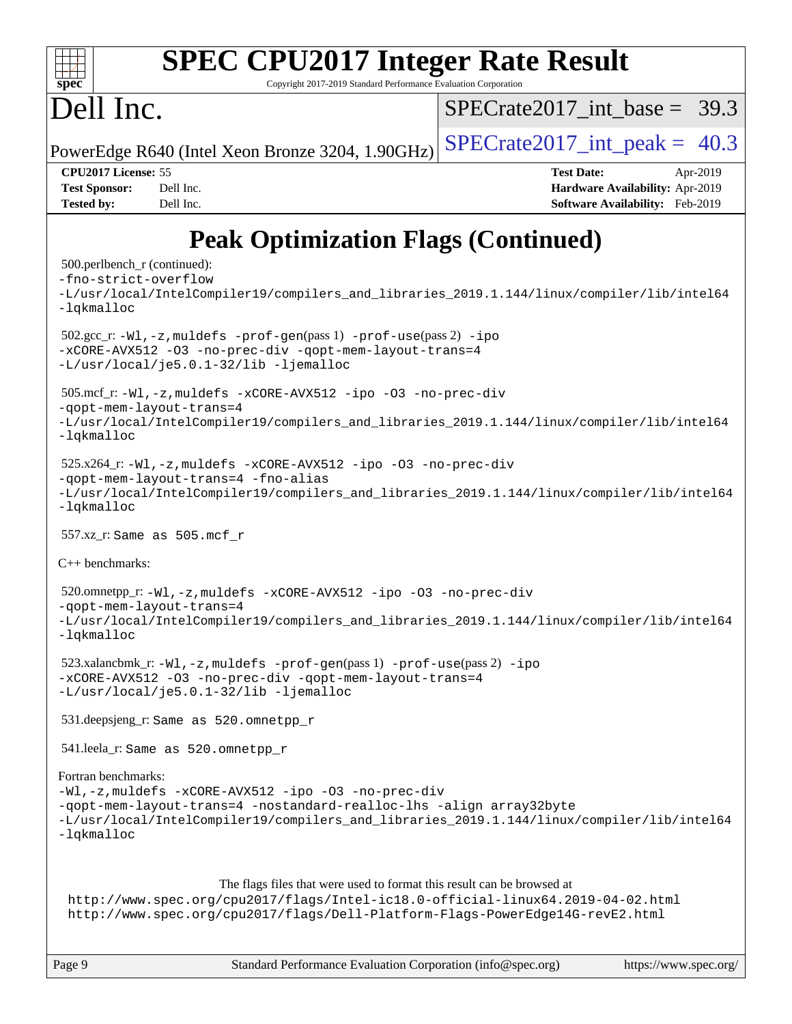

# **[SPEC CPU2017 Integer Rate Result](http://www.spec.org/auto/cpu2017/Docs/result-fields.html#SPECCPU2017IntegerRateResult)**

Copyright 2017-2019 Standard Performance Evaluation Corporation

## Dell Inc.

SPECrate2017 int\_base =  $39.3$ 

PowerEdge R640 (Intel Xeon Bronze 3204, 1.90GHz)  $\text{SPECrate}2017\_int\_peak = 40.3$ 

**[CPU2017 License:](http://www.spec.org/auto/cpu2017/Docs/result-fields.html#CPU2017License)** 55 **[Test Date:](http://www.spec.org/auto/cpu2017/Docs/result-fields.html#TestDate)** Apr-2019 **[Test Sponsor:](http://www.spec.org/auto/cpu2017/Docs/result-fields.html#TestSponsor)** Dell Inc. **[Hardware Availability:](http://www.spec.org/auto/cpu2017/Docs/result-fields.html#HardwareAvailability)** Apr-2019 **[Tested by:](http://www.spec.org/auto/cpu2017/Docs/result-fields.html#Testedby)** Dell Inc. **[Software Availability:](http://www.spec.org/auto/cpu2017/Docs/result-fields.html#SoftwareAvailability)** Feb-2019

## **[Peak Optimization Flags \(Continued\)](http://www.spec.org/auto/cpu2017/Docs/result-fields.html#PeakOptimizationFlags)**

```
 500.perlbench_r (continued):
-fno-strict-overflow
-L/usr/local/IntelCompiler19/compilers_and_libraries_2019.1.144/linux/compiler/lib/intel64
-lqkmalloc
 502.gcc_r: -Wl,-z,muldefs -prof-gen(pass 1) -prof-use(pass 2) -ipo
-xCORE-AVX512 -O3 -no-prec-div -qopt-mem-layout-trans=4
-L/usr/local/je5.0.1-32/lib -ljemalloc
 505.mcf_r: -Wl,-z,muldefs -xCORE-AVX512 -ipo -O3 -no-prec-div
-qopt-mem-layout-trans=4
-L/usr/local/IntelCompiler19/compilers_and_libraries_2019.1.144/linux/compiler/lib/intel64
-lqkmalloc
 525.x264_r: -Wl,-z,muldefs -xCORE-AVX512 -ipo -O3 -no-prec-div
-qopt-mem-layout-trans=4 -fno-alias
-L/usr/local/IntelCompiler19/compilers_and_libraries_2019.1.144/linux/compiler/lib/intel64
-lqkmalloc
 557.xz_r: Same as 505.mcf_r
C++ benchmarks: 
 520.omnetpp_r: -Wl,-z,muldefs -xCORE-AVX512 -ipo -O3 -no-prec-div
-qopt-mem-layout-trans=4
-L/usr/local/IntelCompiler19/compilers_and_libraries_2019.1.144/linux/compiler/lib/intel64
-lqkmalloc
 523.xalancbmk_r: -Wl,-z,muldefs -prof-gen(pass 1) -prof-use(pass 2) -ipo
-xCORE-AVX512 -O3 -no-prec-div -qopt-mem-layout-trans=4
-L/usr/local/je5.0.1-32/lib -ljemalloc
 531.deepsjeng_r: Same as 520.omnetpp_r
 541.leela_r: Same as 520.omnetpp_r
Fortran benchmarks: 
-Wl,-z,muldefs -xCORE-AVX512 -ipo -O3 -no-prec-div
-qopt-mem-layout-trans=4 -nostandard-realloc-lhs -align array32byte
-L/usr/local/IntelCompiler19/compilers_and_libraries_2019.1.144/linux/compiler/lib/intel64
-lqkmalloc
                      The flags files that were used to format this result can be browsed at
 http://www.spec.org/cpu2017/flags/Intel-ic18.0-official-linux64.2019-04-02.html
 http://www.spec.org/cpu2017/flags/Dell-Platform-Flags-PowerEdge14G-revE2.html
```